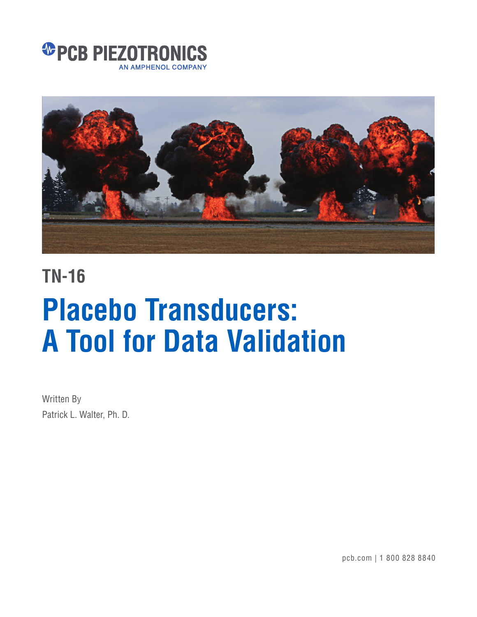



## **TN-16**

# **Placebo Transducers: A Tool for Data Validation**

Written By Patrick L. Walter, Ph. D.

pcb.com | 1 800 828 8840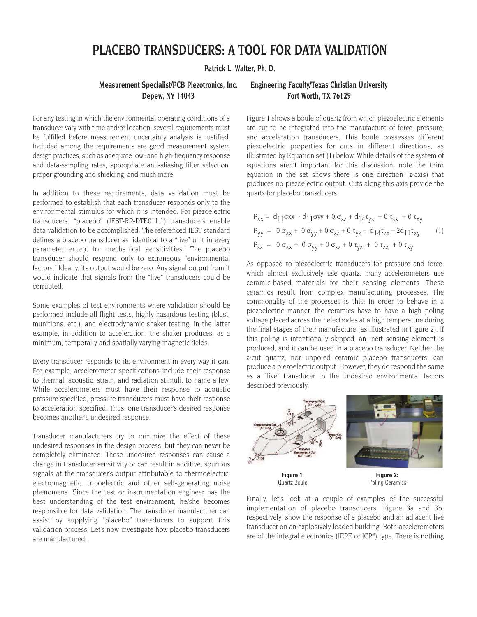### **PLACEBO TRANSDUCERS: A TOOL FOR DATA VALIDATION**

**Patrick L. Walter, Ph. D.**

For any testing in which the environmental operating conditions of a transducer vary with time and/or location, several requirements must be fulfilled before measurement uncertainty analysis is justified. Included among the requirements are good measurement system design practices, such as adequate low- and high-frequency response and data-sampling rates, appropriate anti-aliasing filter selection, proper grounding and shielding, and much more.

In addition to these requirements, data validation must be performed to establish that each transducer responds only to the environmental stimulus for which it is intended. For piezoelectric transducers, "placebo" (IEST-RP-DTE011.1) transducers enable data validation to be accomplished. The referenced IEST standard defines a placebo transducer as 'identical to a "live" unit in every parameter except for mechanical sensitivities.' The placebo transducer should respond only to extraneous "environmental factors." Ideally, its output would be zero. Any signal output from it would indicate that signals from the "live" transducers could be corrupted.

Some examples of test environments where validation should be performed include all flight tests, highly hazardous testing (blast, munitions, etc.), and electrodynamic shaker testing. In the latter example, in addition to acceleration, the shaker produces, as a minimum, temporally and spatially varying magnetic fields.

Every transducer responds to its environment in every way it can. For example, accelerometer specifications include their response to thermal, acoustic, strain, and radiation stimuli, to name a few. While accelerometers must have their response to acoustic pressure specified, pressure transducers must have their response to acceleration specified. Thus, one transducer's desired response becomes another's undesired response.

Transducer manufacturers try to minimize the effect of these undesired responses in the design process, but they can never be completely eliminated. These undesired responses can cause a change in transducer sensitivity or can result in additive, spurious signals at the transducer's output attributable to thermoelectric, electromagnetic, triboelectric and other self-generating noise phenomena. Since the test or instrumentation engineer has the best understanding of the test environment, he/she becomes responsible for data validation. The transducer manufacturer can assist by supplying "placebo" transducers to support this validation process. Let's now investigate how placebo transducers are manufactured.

#### **Measurement Specialist/PCB Piezotronics, Inc. Engineering Faculty/Texas Christian University Depew, NY 14043 Fort Worth, TX 76129**

Figure 1 shows a boule of quartz from which piezoelectric elements are cut to be integrated into the manufacture of force, pressure, and acceleration transducers. This boule possesses different piezoelectric properties for cuts in different directions, as illustrated by Equation set (1) below. While details of the system of equations aren't important for this discussion, note the third equation in the set shows there is one direction (z-axis) that produces no piezoelectric output. Cuts along this axis provide the quartz for placebo transducers.

$$
P_{XX} = d_{11} \sigma xx - d_{11} \sigma yy + 0 \sigma_{ZZ} + d_{14} \tau_{yz} + 0 \tau_{zx} + 0 \tau_{xy}
$$
  
\n
$$
P_{yy} = 0 \sigma_{XX} + 0 \sigma_{yy} + 0 \sigma_{ZZ} + 0 \tau_{yz} - d_{14} \tau_{zx} - 2d_{11} \tau_{xy}
$$
  
\n
$$
P_{ZZ} = 0 \sigma_{XX} + 0 \sigma_{yy} + 0 \sigma_{ZZ} + 0 \tau_{yz} + 0 \tau_{zx} + 0 \tau_{xy}
$$
  
\n(1)

As opposed to piezoelectric transducers for pressure and force, which almost exclusively use quartz, many accelerometers use ceramic-based materials for their sensing elements. These ceramics result from complex manufacturing processes. The commonality of the processes is this: In order to behave in a piezoelectric manner, the ceramics have to have a high poling voltage placed across their electrodes at a high temperature during the final stages of their manufacture (as illustrated in Figure 2). If this poling is intentionally skipped, an inert sensing element is produced, and it can be used in a placebo transducer. Neither the z-cut quartz, nor unpoled ceramic placebo transducers, can produce a piezoelectric output. However, they do respond the same as a "live" transducer to the undesired environmental factors described previously.



Finally, let's look at a couple of examples of the successful implementation of placebo transducers. Figure 3a and 3b, respectively, show the response of a placebo and an adjacent live transducer on an explosively loaded building. Both accelerometers are of the integral electronics (IEPE or ICP®) type. There is nothing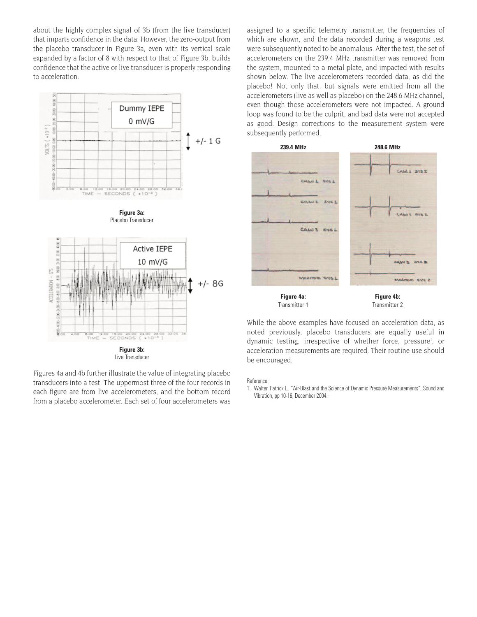about the highly complex signal of 3b (from the live transducer) that imparts confidence in the data. However, the zero-output from the placebo transducer in Figure 3a, even with its vertical scale expanded by a factor of 8 with respect to that of Figure 3b, builds confidence that the active or live transducer is properly responding to acceleration.



Figures 4a and 4b further illustrate the value of integrating placebo transducers into a test. The uppermost three of the four records in each figure are from live accelerometers, and the bottom record from a placebo accelerometer. Each set of four accelerometers was assigned to a specific telemetry transmitter, the frequencies of which are shown, and the data recorded during a weapons test were subsequently noted to be anomalous. After the test, the set of accelerometers on the 239.4 MHz transmitter was removed from the system, mounted to a metal plate, and impacted with results shown below. The live accelerometers recorded data, as did the placebo! Not only that, but signals were emitted from all the accelerometers (live as well as placebo) on the 248.6 MHz channel, even though those accelerometers were not impacted. A ground loop was found to be the culprit, and bad data were not accepted as good. Design corrections to the measurement system were subsequently performed.



While the above examples have focused on acceleration data, as noted previously, placebo transducers are equally useful in dynamic testing, irrespective of whether force, pressure<sup>1</sup>, or acceleration measurements are required. Their routine use should be encouraged.

Reference:

1. Walter, Patrick L., "Air-Blast and the Science of Dynamic Pressure Measurements", Sound and Vibration, pp 10-16, December 2004.